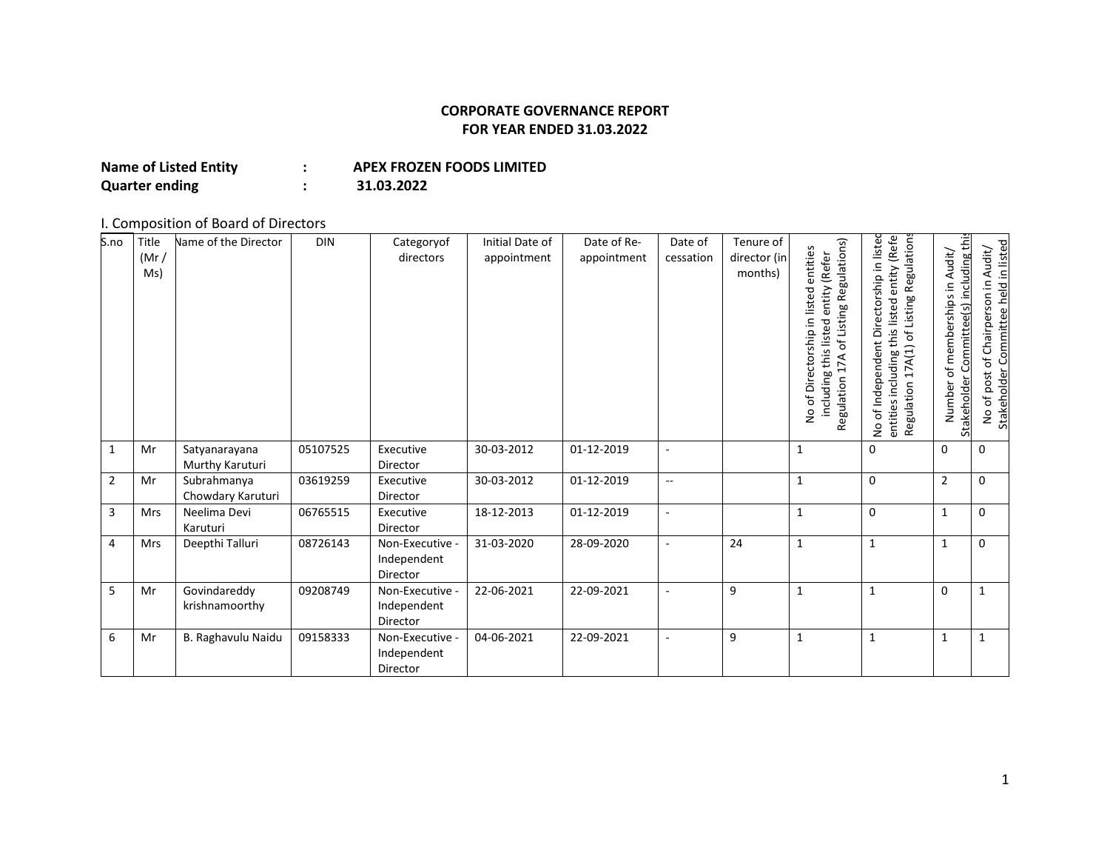### **CORPORATE GOVERNANCE REPORT FOR YEAR ENDED 31.03.2022**

| <b>Name of Listed Entity</b> | <b>APEX FROZEN FOODS LIMITED</b> |
|------------------------------|----------------------------------|
| <b>Quarter ending</b>        | 31.03.2022                       |

# I. Composition of Board of Directors

| S.no           | Title<br>(Mr)<br>Ms) | Name of the Director             | <b>DIN</b> | Categoryof<br>directors                    | Initial Date of<br>appointment | Date of Re-<br>appointment | Date of<br>cessation     | Tenure of<br>director (in<br>months) | of Listing Regulations)<br>entities<br>including this listed entity (Refer<br>No of Directorship in listed<br>Regulation 17A | Regulation 17A(1) of Listing Regulations<br>of Independent Directorship in listed<br>(Refe<br>entities including this listed entity<br>$\frac{0}{2}$ | Committee(s) including thi<br>Audit/<br>of memberships in<br>Stakeholder<br>Number | No of post of Chairperson in Audit/<br>Stakeholder Committee held in listed |
|----------------|----------------------|----------------------------------|------------|--------------------------------------------|--------------------------------|----------------------------|--------------------------|--------------------------------------|------------------------------------------------------------------------------------------------------------------------------|------------------------------------------------------------------------------------------------------------------------------------------------------|------------------------------------------------------------------------------------|-----------------------------------------------------------------------------|
| 1              | Mr                   | Satyanarayana<br>Murthy Karuturi | 05107525   | Executive<br>Director                      | 30-03-2012                     | 01-12-2019                 | $\overline{a}$           |                                      | 1                                                                                                                            | 0                                                                                                                                                    | 0                                                                                  | 0                                                                           |
| $\overline{2}$ | Mr                   | Subrahmanya<br>Chowdary Karuturi | 03619259   | Executive<br>Director                      | 30-03-2012                     | 01-12-2019                 | $\overline{\phantom{a}}$ |                                      | $\mathbf{1}$                                                                                                                 | 0                                                                                                                                                    | $\overline{2}$                                                                     | 0                                                                           |
| 3              | Mrs                  | Neelima Devi<br>Karuturi         | 06765515   | Executive<br>Director                      | 18-12-2013                     | 01-12-2019                 | $\overline{\phantom{a}}$ |                                      | $\mathbf{1}$                                                                                                                 | 0                                                                                                                                                    | 1                                                                                  | $\Omega$                                                                    |
| 4              | Mrs                  | Deepthi Talluri                  | 08726143   | Non-Executive -<br>Independent<br>Director | 31-03-2020                     | 28-09-2020                 | $\sim$                   | 24                                   | $\mathbf{1}$                                                                                                                 | $\mathbf{1}$                                                                                                                                         | 1                                                                                  | 0                                                                           |
| 5              | Mr                   | Govindareddy<br>krishnamoorthy   | 09208749   | Non-Executive -<br>Independent<br>Director | 22-06-2021                     | 22-09-2021                 | $\sim$                   | 9                                    | 1                                                                                                                            | 1                                                                                                                                                    | 0                                                                                  | 1                                                                           |
| 6              | Mr                   | B. Raghavulu Naidu               | 09158333   | Non-Executive -<br>Independent<br>Director | 04-06-2021                     | 22-09-2021                 | $\sim$                   | 9                                    | 1                                                                                                                            | 1                                                                                                                                                    | 1                                                                                  | 1                                                                           |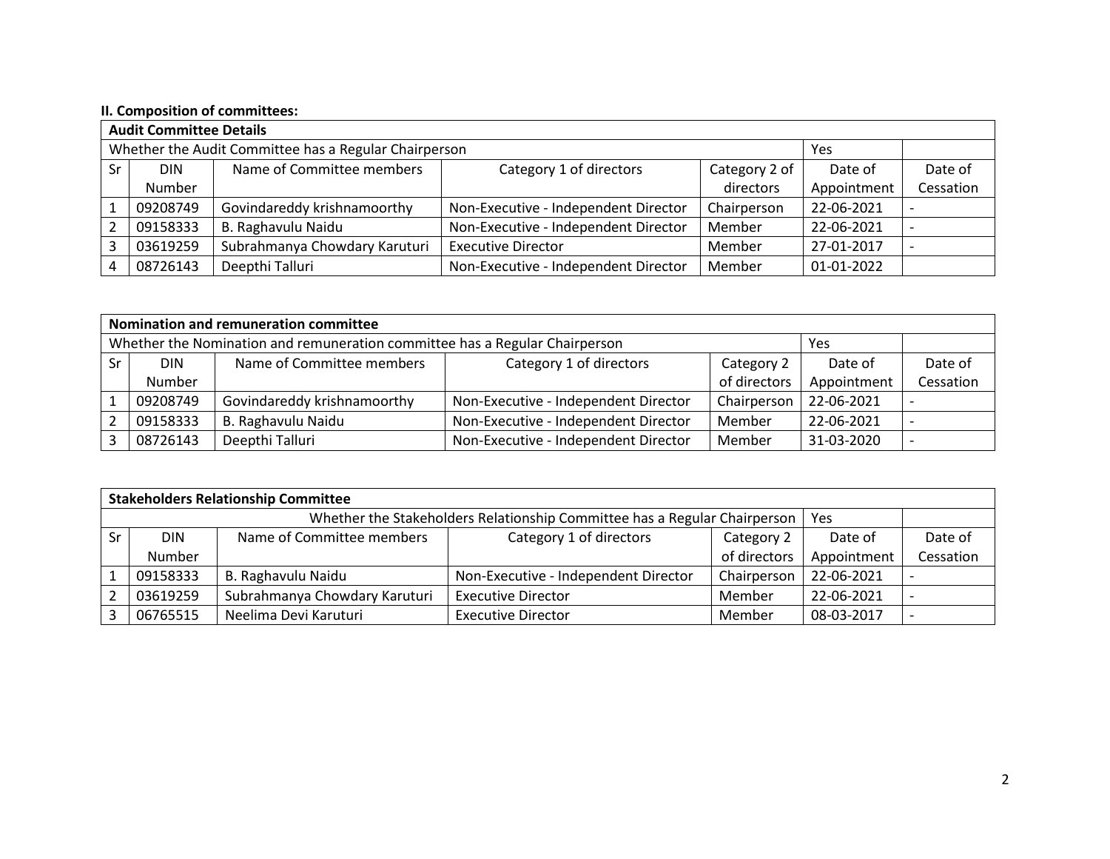## **II. Composition of committees:**

|    | <b>Audit Committee Details</b>                               |                               |                                      |               |             |           |  |
|----|--------------------------------------------------------------|-------------------------------|--------------------------------------|---------------|-------------|-----------|--|
|    | Whether the Audit Committee has a Regular Chairperson<br>Yes |                               |                                      |               |             |           |  |
| Sr | <b>DIN</b>                                                   | Name of Committee members     | Category 1 of directors              | Category 2 of | Date of     | Date of   |  |
|    | Number                                                       |                               |                                      | directors     | Appointment | Cessation |  |
|    | 09208749                                                     | Govindareddy krishnamoorthy   | Non-Executive - Independent Director | Chairperson   | 22-06-2021  |           |  |
|    | 09158333                                                     | B. Raghavulu Naidu            | Non-Executive - Independent Director | Member        | 22-06-2021  |           |  |
| 3  | 03619259                                                     | Subrahmanya Chowdary Karuturi | <b>Executive Director</b>            | Member        | 27-01-2017  |           |  |
|    | 08726143                                                     | Deepthi Talluri               | Non-Executive - Independent Director | Member        | 01-01-2022  |           |  |

|    | Nomination and remuneration committee                                                     |                             |                                      |              |             |                          |
|----|-------------------------------------------------------------------------------------------|-----------------------------|--------------------------------------|--------------|-------------|--------------------------|
|    | Whether the Nomination and remuneration committee has a Regular Chairperson<br><b>Yes</b> |                             |                                      |              |             |                          |
| Sr | <b>DIN</b>                                                                                | Name of Committee members   | Category 1 of directors              | Category 2   | Date of     | Date of                  |
|    | Number                                                                                    |                             |                                      | of directors | Appointment | Cessation                |
|    | 09208749                                                                                  | Govindareddy krishnamoorthy | Non-Executive - Independent Director | Chairperson  | 22-06-2021  |                          |
|    | 09158333                                                                                  | B. Raghavulu Naidu          | Non-Executive - Independent Director | Member       | 22-06-2021  |                          |
|    | 08726143                                                                                  | Deepthi Talluri             | Non-Executive - Independent Director | Member       | 31-03-2020  | $\overline{\phantom{a}}$ |

| <b>Stakeholders Relationship Committee</b>                                       |                               |                                      |              |             |                          |  |
|----------------------------------------------------------------------------------|-------------------------------|--------------------------------------|--------------|-------------|--------------------------|--|
| Whether the Stakeholders Relationship Committee has a Regular Chairperson<br>Yes |                               |                                      |              |             |                          |  |
| <b>DIN</b>                                                                       | Name of Committee members     | Category 1 of directors              | Category 2   | Date of     | Date of                  |  |
| Number                                                                           |                               |                                      | of directors | Appointment | Cessation                |  |
| 09158333                                                                         | B. Raghavulu Naidu            | Non-Executive - Independent Director | Chairperson  | 22-06-2021  |                          |  |
| 03619259                                                                         | Subrahmanya Chowdary Karuturi | <b>Executive Director</b>            | Member       | 22-06-2021  | $\overline{\phantom{0}}$ |  |
| 06765515                                                                         | Neelima Devi Karuturi         | <b>Executive Director</b>            | Member       | 08-03-2017  | $\overline{\phantom{0}}$ |  |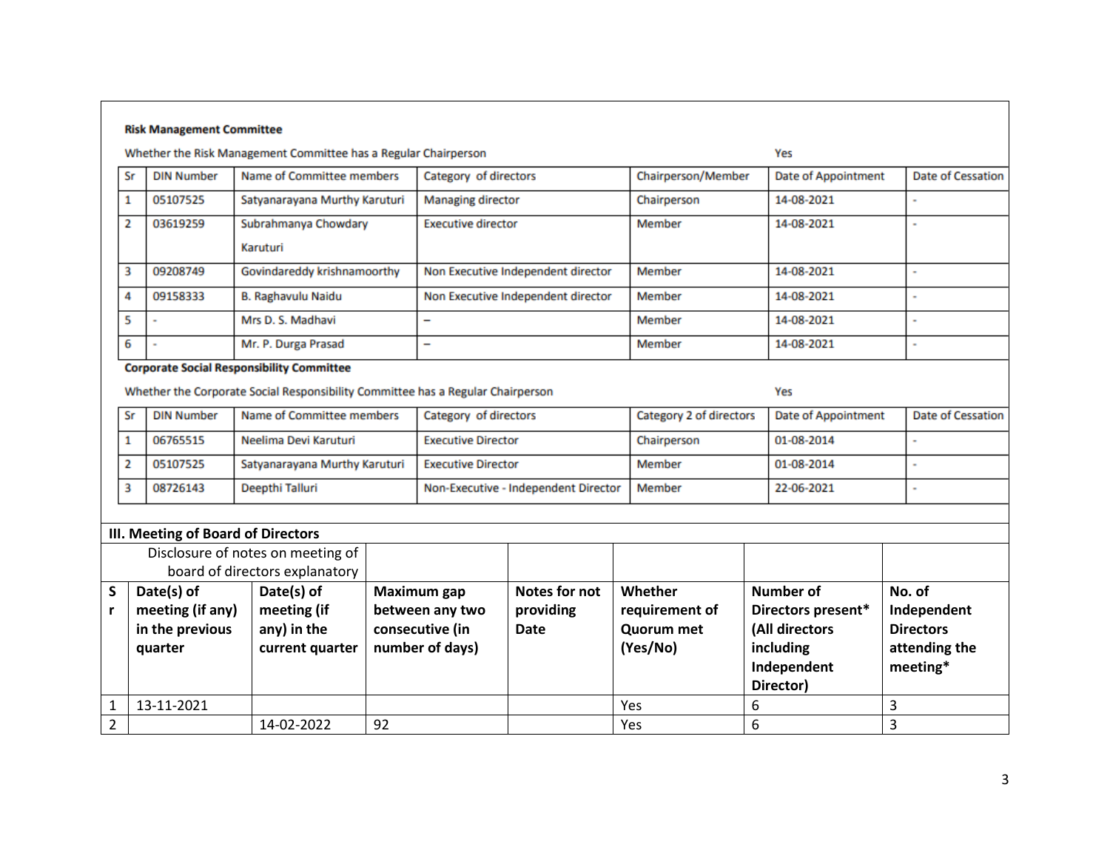#### **Risk Management Committee**

Whether the Risk Management Committee has a Regular Chairperson

| Sr | <b>DIN Number</b> | Name of Committee members        | Category of directors              | Chairperson/Member | Date of Appointment | Date of Cessation |
|----|-------------------|----------------------------------|------------------------------------|--------------------|---------------------|-------------------|
|    | 05107525          | Satyanarayana Murthy Karuturi    | <b>Managing director</b>           | Chairperson        | 14-08-2021          |                   |
| 2  | 03619259          | Subrahmanya Chowdary<br>Karuturi | <b>Executive director</b>          | Member             | 14-08-2021          |                   |
| з  | 09208749          | Govindareddy krishnamoorthy      | Non Executive Independent director | Member             | 14-08-2021          |                   |
|    | 09158333          | <b>B. Raghavulu Naidu</b>        | Non Executive Independent director | Member             | 14-08-2021          |                   |
|    |                   | Mrs D. S. Madhavi                | -                                  | Member             | 14-08-2021          |                   |
| 6  |                   | Mr. P. Durga Prasad              | -                                  | Member             | 14-08-2021          |                   |

#### **Corporate Social Responsibility Committee**

Whether the Corporate Social Responsibility Committee has a Regular Chairperson

Yes

| <b>DIN Number</b> | Name of Committee members     | Category of directors                | Category 2 of directors | Date of Appointment | Date of Cessation |
|-------------------|-------------------------------|--------------------------------------|-------------------------|---------------------|-------------------|
| 06765515          | Neelima Devi Karuturi         | <b>Executive Director</b>            | Chairperson             | 01-08-2014          |                   |
| 05107525          | Satyanarayana Murthy Karuturi | <b>Executive Director</b>            | Member                  | 01-08-2014          |                   |
| 08726143          | Deepthi Talluri               | Non-Executive - Independent Director | Member                  | 22-06-2021          |                   |

|                                   | III. Meeting of Board of Directors |                                |                    |               |                   |                    |                  |
|-----------------------------------|------------------------------------|--------------------------------|--------------------|---------------|-------------------|--------------------|------------------|
| Disclosure of notes on meeting of |                                    |                                |                    |               |                   |                    |                  |
|                                   |                                    | board of directors explanatory |                    |               |                   |                    |                  |
| S                                 | Date(s) of                         | Date(s) of                     | <b>Maximum gap</b> | Notes for not | Whether           | Number of          | No. of           |
|                                   | meeting (if any)                   | meeting (if                    | between any two    | providing     | requirement of    | Directors present* | Independent      |
|                                   | in the previous                    | any) in the                    | consecutive (in    | Date          | <b>Quorum met</b> | (All directors     | <b>Directors</b> |
|                                   | quarter                            | current quarter                | number of days)    |               | (Yes/No)          | including          | attending the    |
|                                   |                                    |                                |                    |               |                   | Independent        | meeting*         |
|                                   |                                    |                                |                    |               |                   | Director)          |                  |
|                                   | 13-11-2021                         |                                |                    |               | <b>Yes</b>        | 6                  |                  |
| $\overline{2}$                    |                                    | 14-02-2022                     | 92                 |               | <b>Yes</b>        | 6                  |                  |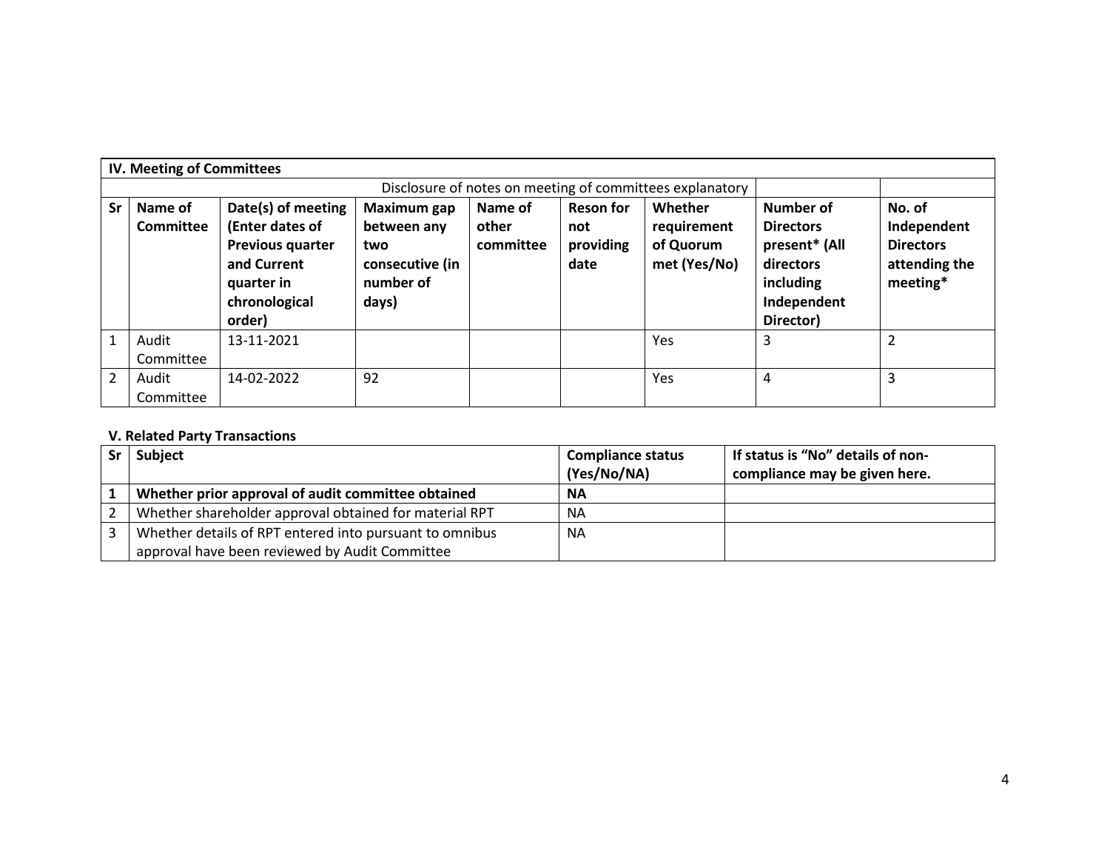|                | IV. Meeting of Committees |                                        |                        |           |                   |                                                          |                            |                                   |
|----------------|---------------------------|----------------------------------------|------------------------|-----------|-------------------|----------------------------------------------------------|----------------------------|-----------------------------------|
|                |                           |                                        |                        |           |                   | Disclosure of notes on meeting of committees explanatory |                            |                                   |
| Sr             | Name of                   | Date(s) of meeting                     | Maximum gap            | Name of   | <b>Reson for</b>  | Whether                                                  | Number of                  | No. of                            |
|                | Committee                 | (Enter dates of                        | between any            | other     | not               | requirement                                              | <b>Directors</b>           | Independent                       |
|                |                           | <b>Previous quarter</b><br>and Current | two<br>consecutive (in | committee | providing<br>date | of Quorum<br>met (Yes/No)                                | present* (All<br>directors | <b>Directors</b><br>attending the |
|                |                           | quarter in<br>chronological            | number of<br>days)     |           |                   |                                                          | including<br>Independent   | meeting*                          |
|                |                           | order)                                 |                        |           |                   |                                                          | Director)                  |                                   |
| $\mathbf{1}$   | Audit                     | 13-11-2021                             |                        |           |                   | Yes                                                      | 3                          | $\overline{2}$                    |
|                | Committee                 |                                        |                        |           |                   |                                                          |                            |                                   |
| $\overline{2}$ | Audit                     | 14-02-2022                             | 92                     |           |                   | Yes                                                      | 4                          | 3                                 |
|                | Committee                 |                                        |                        |           |                   |                                                          |                            |                                   |

## **V. Related Party Transactions**

| <b>Subject</b>                                          | <b>Compliance status</b> | If status is "No" details of non- |
|---------------------------------------------------------|--------------------------|-----------------------------------|
|                                                         | (Yes/No/NA)              | compliance may be given here.     |
| Whether prior approval of audit committee obtained      | <b>NA</b>                |                                   |
| Whether shareholder approval obtained for material RPT  | NA.                      |                                   |
| Whether details of RPT entered into pursuant to omnibus | NA.                      |                                   |
| approval have been reviewed by Audit Committee          |                          |                                   |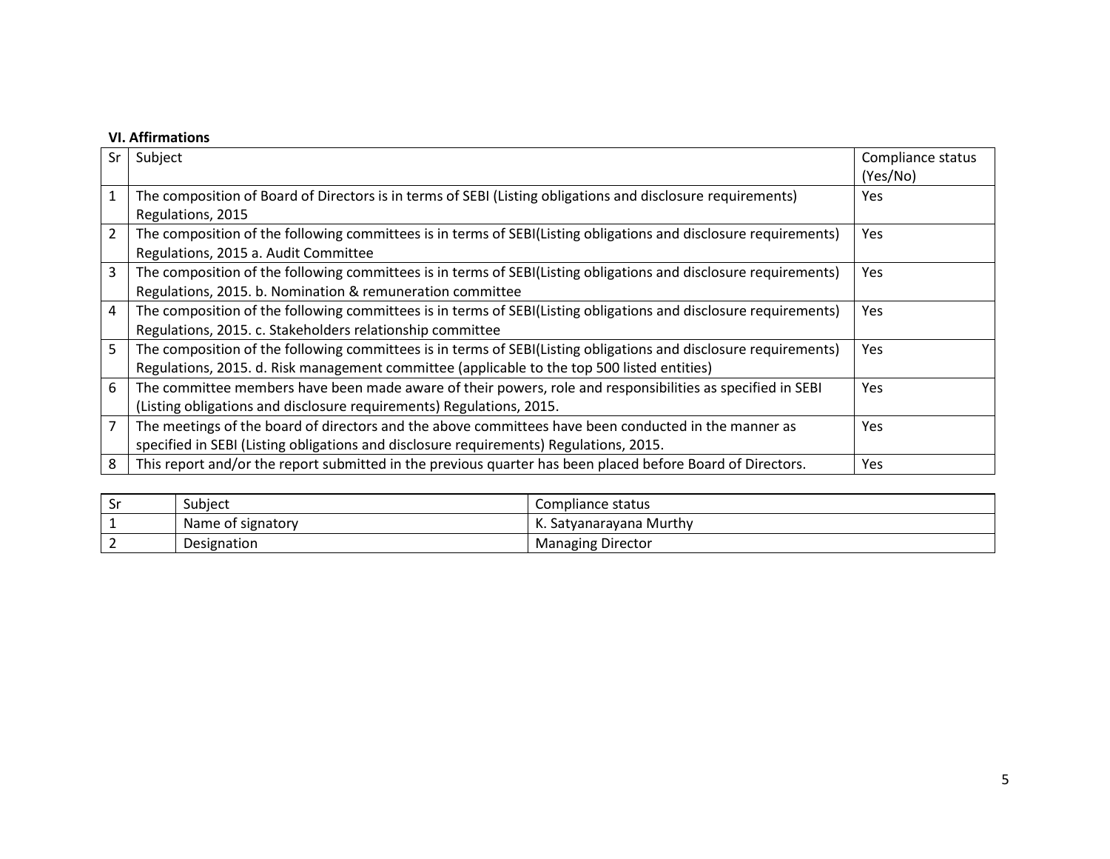### **VI. Affirmations**

| Sr             | Subject                                                                                                          | Compliance status |
|----------------|------------------------------------------------------------------------------------------------------------------|-------------------|
|                |                                                                                                                  | (Yes/No)          |
|                | The composition of Board of Directors is in terms of SEBI (Listing obligations and disclosure requirements)      | Yes               |
|                | Regulations, 2015                                                                                                |                   |
| $\overline{2}$ | The composition of the following committees is in terms of SEBI(Listing obligations and disclosure requirements) | Yes               |
|                | Regulations, 2015 a. Audit Committee                                                                             |                   |
| 3              | The composition of the following committees is in terms of SEBI(Listing obligations and disclosure requirements) | Yes               |
|                | Regulations, 2015. b. Nomination & remuneration committee                                                        |                   |
| 4              | The composition of the following committees is in terms of SEBI(Listing obligations and disclosure requirements) | Yes               |
|                | Regulations, 2015. c. Stakeholders relationship committee                                                        |                   |
| 5              | The composition of the following committees is in terms of SEBI(Listing obligations and disclosure requirements) | Yes               |
|                | Regulations, 2015. d. Risk management committee (applicable to the top 500 listed entities)                      |                   |
| 6              | The committee members have been made aware of their powers, role and responsibilities as specified in SEBI       | Yes               |
|                | (Listing obligations and disclosure requirements) Regulations, 2015.                                             |                   |
| 7              | The meetings of the board of directors and the above committees have been conducted in the manner as             | Yes               |
|                | specified in SEBI (Listing obligations and disclosure requirements) Regulations, 2015.                           |                   |
| 8              | This report and/or the report submitted in the previous quarter has been placed before Board of Directors.       | Yes               |

| -<br>Sr | Subject           | Compliance status        |
|---------|-------------------|--------------------------|
|         | Name of signatory | K. Satvanaravana Murthy  |
|         | Designation       | <b>Managing Director</b> |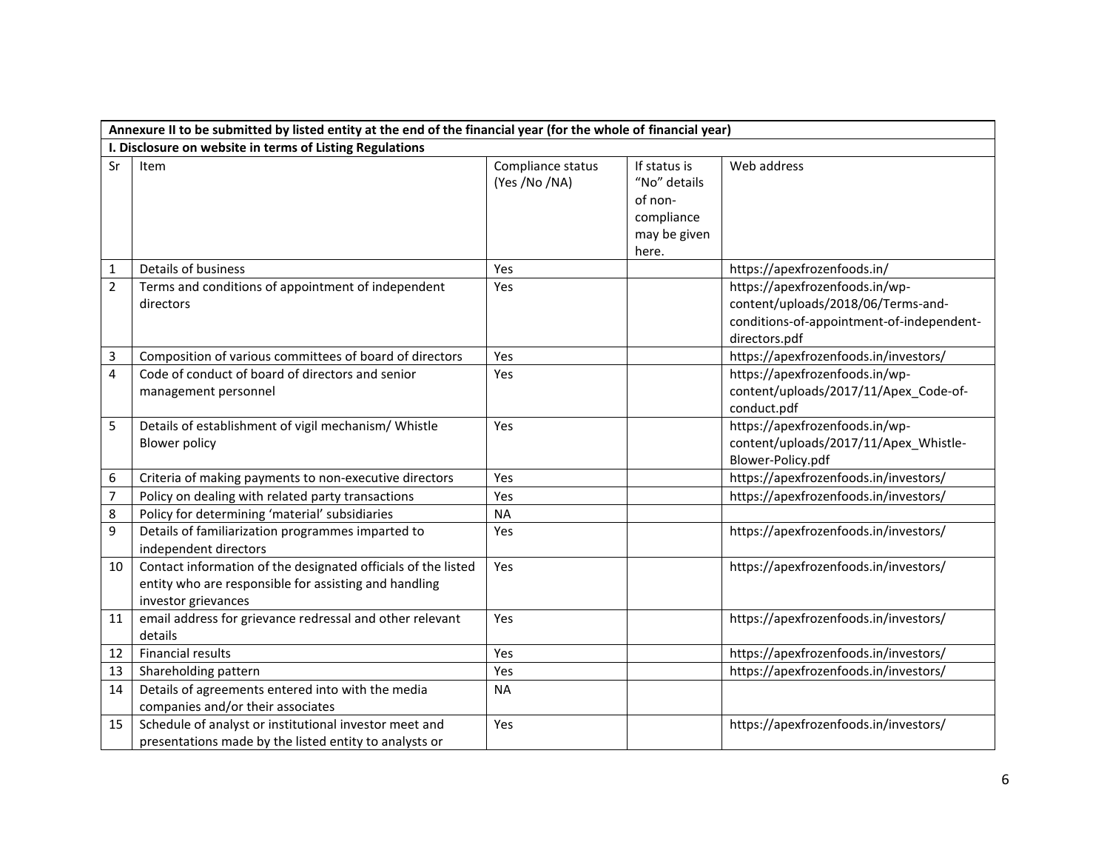|                | Annexure II to be submitted by listed entity at the end of the financial year (for the whole of financial year)                               |                                    |                                                                                |                                                                                                                                    |  |
|----------------|-----------------------------------------------------------------------------------------------------------------------------------------------|------------------------------------|--------------------------------------------------------------------------------|------------------------------------------------------------------------------------------------------------------------------------|--|
|                | I. Disclosure on website in terms of Listing Regulations                                                                                      |                                    |                                                                                |                                                                                                                                    |  |
| Sr             | Item                                                                                                                                          | Compliance status<br>(Yes /No /NA) | If status is<br>"No" details<br>of non-<br>compliance<br>may be given<br>here. | Web address                                                                                                                        |  |
| $\mathbf{1}$   | Details of business                                                                                                                           | Yes                                |                                                                                | https://apexfrozenfoods.in/                                                                                                        |  |
| $\overline{2}$ | Terms and conditions of appointment of independent<br>directors                                                                               | Yes                                |                                                                                | https://apexfrozenfoods.in/wp-<br>content/uploads/2018/06/Terms-and-<br>conditions-of-appointment-of-independent-<br>directors.pdf |  |
| 3              | Composition of various committees of board of directors                                                                                       | Yes                                |                                                                                | https://apexfrozenfoods.in/investors/                                                                                              |  |
| 4              | Code of conduct of board of directors and senior<br>management personnel                                                                      | Yes                                |                                                                                | https://apexfrozenfoods.in/wp-<br>content/uploads/2017/11/Apex_Code-of-<br>conduct.pdf                                             |  |
| 5              | Details of establishment of vigil mechanism/ Whistle<br><b>Blower policy</b>                                                                  | Yes                                |                                                                                | https://apexfrozenfoods.in/wp-<br>content/uploads/2017/11/Apex_Whistle-<br>Blower-Policy.pdf                                       |  |
| 6              | Criteria of making payments to non-executive directors                                                                                        | Yes                                |                                                                                | https://apexfrozenfoods.in/investors/                                                                                              |  |
| 7              | Policy on dealing with related party transactions                                                                                             | Yes                                |                                                                                | https://apexfrozenfoods.in/investors/                                                                                              |  |
| 8              | Policy for determining 'material' subsidiaries                                                                                                | <b>NA</b>                          |                                                                                |                                                                                                                                    |  |
| 9              | Details of familiarization programmes imparted to<br>independent directors                                                                    | Yes                                |                                                                                | https://apexfrozenfoods.in/investors/                                                                                              |  |
| 10             | Contact information of the designated officials of the listed<br>entity who are responsible for assisting and handling<br>investor grievances | Yes                                |                                                                                | https://apexfrozenfoods.in/investors/                                                                                              |  |
| 11             | email address for grievance redressal and other relevant<br>details                                                                           | Yes                                |                                                                                | https://apexfrozenfoods.in/investors/                                                                                              |  |
| 12             | <b>Financial results</b>                                                                                                                      | Yes                                |                                                                                | https://apexfrozenfoods.in/investors/                                                                                              |  |
| 13             | Shareholding pattern                                                                                                                          | Yes                                |                                                                                | https://apexfrozenfoods.in/investors/                                                                                              |  |
| 14             | Details of agreements entered into with the media<br>companies and/or their associates                                                        | <b>NA</b>                          |                                                                                |                                                                                                                                    |  |
| 15             | Schedule of analyst or institutional investor meet and<br>presentations made by the listed entity to analysts or                              | Yes                                |                                                                                | https://apexfrozenfoods.in/investors/                                                                                              |  |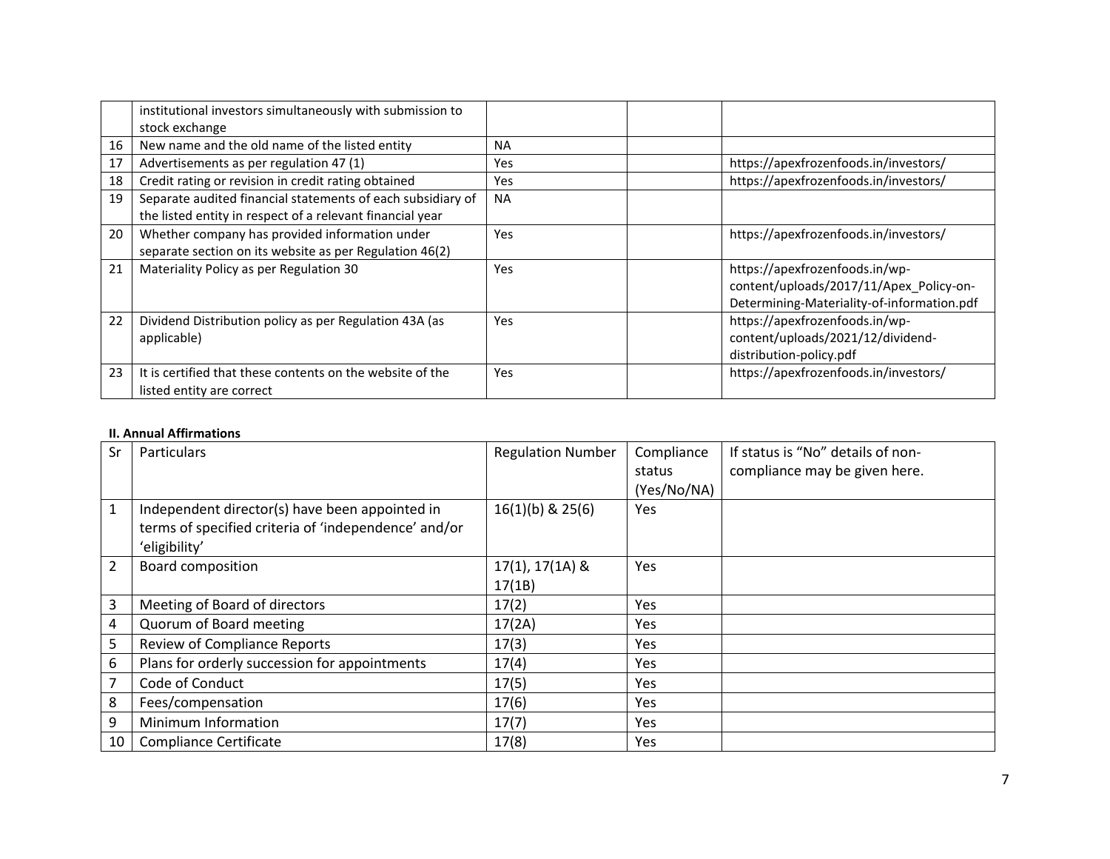|    | institutional investors simultaneously with submission to<br>stock exchange                                              |            |                                                                                                                         |
|----|--------------------------------------------------------------------------------------------------------------------------|------------|-------------------------------------------------------------------------------------------------------------------------|
| 16 | New name and the old name of the listed entity                                                                           | <b>NA</b>  |                                                                                                                         |
| 17 | Advertisements as per regulation 47 (1)                                                                                  | <b>Yes</b> | https://apexfrozenfoods.in/investors/                                                                                   |
| 18 | Credit rating or revision in credit rating obtained                                                                      | <b>Yes</b> | https://apexfrozenfoods.in/investors/                                                                                   |
| 19 | Separate audited financial statements of each subsidiary of<br>the listed entity in respect of a relevant financial year | <b>NA</b>  |                                                                                                                         |
| 20 | Whether company has provided information under<br>separate section on its website as per Regulation 46(2)                | Yes        | https://apexfrozenfoods.in/investors/                                                                                   |
| 21 | Materiality Policy as per Regulation 30                                                                                  | <b>Yes</b> | https://apexfrozenfoods.in/wp-<br>content/uploads/2017/11/Apex_Policy-on-<br>Determining-Materiality-of-information.pdf |
| 22 | Dividend Distribution policy as per Regulation 43A (as<br>applicable)                                                    | Yes        | https://apexfrozenfoods.in/wp-<br>content/uploads/2021/12/dividend-<br>distribution-policy.pdf                          |
| 23 | It is certified that these contents on the website of the<br>listed entity are correct                                   | Yes        | https://apexfrozenfoods.in/investors/                                                                                   |

### **II. Annual Affirmations**

| Sr               | Particulars                                          | <b>Regulation Number</b> | Compliance  | If status is "No" details of non- |
|------------------|------------------------------------------------------|--------------------------|-------------|-----------------------------------|
|                  |                                                      |                          | status      | compliance may be given here.     |
|                  |                                                      |                          | (Yes/No/NA) |                                   |
| $\mathbf{1}$     | Independent director(s) have been appointed in       | $16(1)(b)$ & $25(6)$     | <b>Yes</b>  |                                   |
|                  | terms of specified criteria of 'independence' and/or |                          |             |                                   |
|                  | 'eligibility'                                        |                          |             |                                   |
| $\overline{2}$   | <b>Board composition</b>                             | 17(1), 17(1A) &          | Yes         |                                   |
|                  |                                                      | 17(1B)                   |             |                                   |
| 3                | Meeting of Board of directors                        | 17(2)                    | Yes         |                                   |
| $\overline{a}$   | Quorum of Board meeting                              | 17(2A)                   | <b>Yes</b>  |                                   |
| 5                | <b>Review of Compliance Reports</b>                  | 17(3)                    | Yes.        |                                   |
| $\boldsymbol{6}$ | Plans for orderly succession for appointments        | 17(4)                    | <b>Yes</b>  |                                   |
| 7                | Code of Conduct                                      | 17(5)                    | <b>Yes</b>  |                                   |
| 8                | Fees/compensation                                    | 17(6)                    | Yes         |                                   |
| 9                | Minimum Information                                  | 17(7)                    | <b>Yes</b>  |                                   |
| 10               | <b>Compliance Certificate</b>                        | 17(8)                    | <b>Yes</b>  |                                   |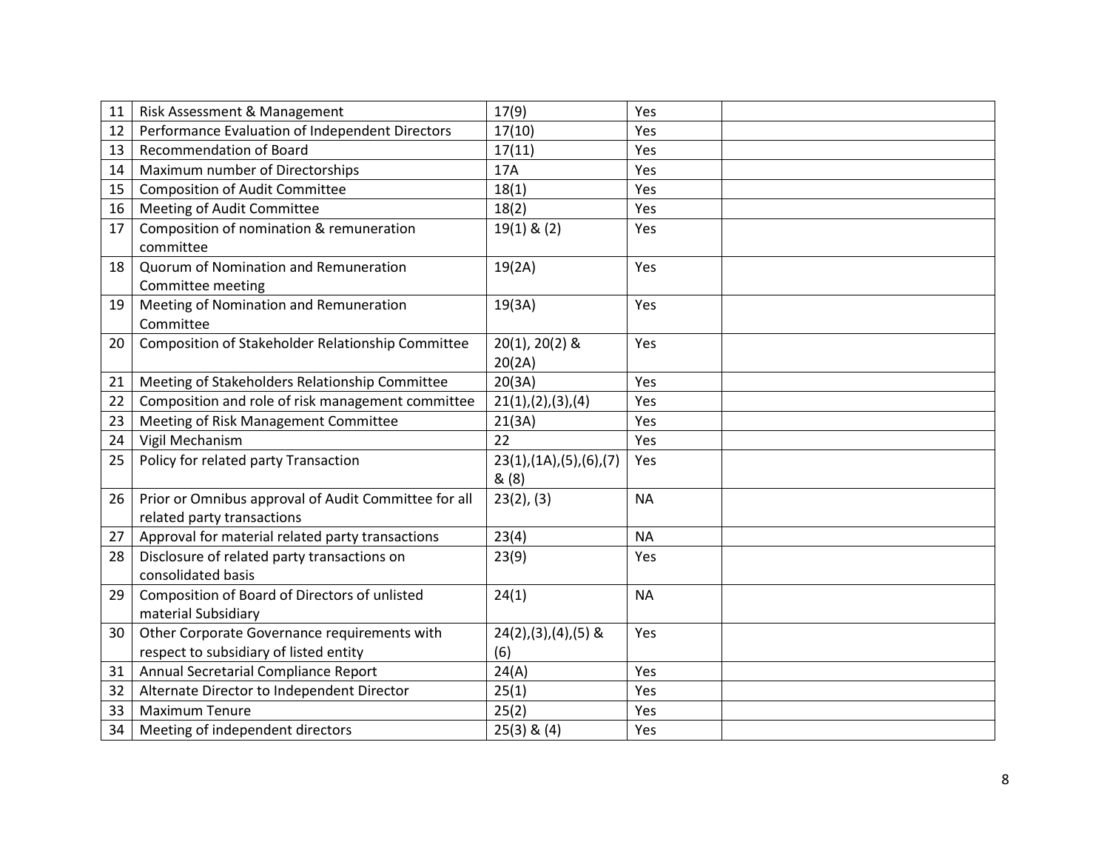| 11 | Risk Assessment & Management                         | 17(9)                      | Yes       |  |
|----|------------------------------------------------------|----------------------------|-----------|--|
| 12 | Performance Evaluation of Independent Directors      | 17(10)                     | Yes       |  |
| 13 | Recommendation of Board                              | 17(11)                     | Yes       |  |
| 14 | Maximum number of Directorships                      | 17A                        | Yes       |  |
| 15 | <b>Composition of Audit Committee</b>                | 18(1)                      | Yes       |  |
| 16 | Meeting of Audit Committee                           | 18(2)                      | Yes       |  |
| 17 | Composition of nomination & remuneration             | $19(1)$ & (2)              | Yes       |  |
|    | committee                                            |                            |           |  |
| 18 | Quorum of Nomination and Remuneration                | 19(2A)                     | Yes       |  |
|    | Committee meeting                                    |                            |           |  |
| 19 | Meeting of Nomination and Remuneration               | 19(3A)                     | Yes       |  |
|    | Committee                                            |                            |           |  |
| 20 | Composition of Stakeholder Relationship Committee    | $20(1), 20(2)$ &           | Yes       |  |
|    |                                                      | 20(2A)                     |           |  |
| 21 | Meeting of Stakeholders Relationship Committee       | 20(3A)                     | Yes       |  |
| 22 | Composition and role of risk management committee    | 21(1), (2), (3), (4)       | Yes       |  |
| 23 | Meeting of Risk Management Committee                 | 21(3A)                     | Yes       |  |
| 24 | Vigil Mechanism                                      | 22                         | Yes       |  |
| 25 | Policy for related party Transaction                 | 23(1), (1A), (5), (6), (7) | Yes       |  |
|    |                                                      | &(8)                       |           |  |
| 26 | Prior or Omnibus approval of Audit Committee for all | 23(2), (3)                 | <b>NA</b> |  |
|    | related party transactions                           |                            |           |  |
| 27 | Approval for material related party transactions     | 23(4)                      | <b>NA</b> |  |
| 28 | Disclosure of related party transactions on          | 23(9)                      | Yes       |  |
|    | consolidated basis                                   |                            |           |  |
| 29 | Composition of Board of Directors of unlisted        | 24(1)                      | <b>NA</b> |  |
|    | material Subsidiary                                  |                            |           |  |
| 30 | Other Corporate Governance requirements with         | $24(2), (3), (4), (5)$ &   | Yes       |  |
|    | respect to subsidiary of listed entity               | (6)                        |           |  |
| 31 | Annual Secretarial Compliance Report                 | 24(A)                      | Yes       |  |
| 32 | Alternate Director to Independent Director           | 25(1)                      | Yes       |  |
| 33 | <b>Maximum Tenure</b>                                | 25(2)                      | Yes       |  |
| 34 | Meeting of independent directors                     | $25(3)$ & $(4)$            | Yes       |  |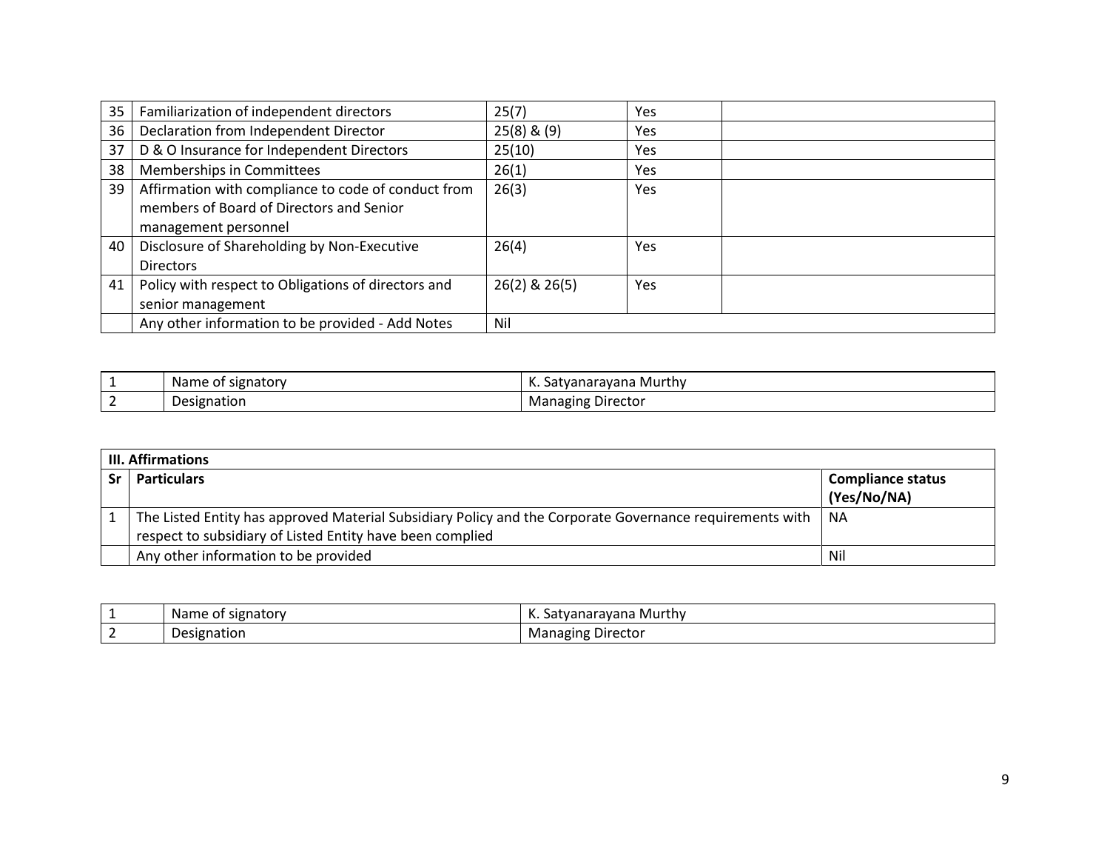| 35 | Familiarization of independent directors                                                                                | 25(7)           | Yes |  |
|----|-------------------------------------------------------------------------------------------------------------------------|-----------------|-----|--|
| 36 | Declaration from Independent Director                                                                                   | $25(8)$ & $(9)$ | Yes |  |
| 37 | D & O Insurance for Independent Directors                                                                               | 25(10)          | Yes |  |
| 38 | Memberships in Committees                                                                                               | 26(1)           | Yes |  |
| 39 | Affirmation with compliance to code of conduct from<br>members of Board of Directors and Senior<br>management personnel | 26(3)           | Yes |  |
| 40 | Disclosure of Shareholding by Non-Executive<br><b>Directors</b>                                                         | 26(4)           | Yes |  |
| 41 | Policy with respect to Obligations of directors and<br>senior management                                                | 26(2) & 26(5)   | Yes |  |
|    | Any other information to be provided - Add Notes                                                                        | Nil             |     |  |

| - | ' signatory<br>Name of | .,<br>K. Satvanaravana Murthy |
|---|------------------------|-------------------------------|
|   | Designation            | <b>Managing Director</b>      |

|    | <b>III. Affirmations</b>                                                                                 |                          |  |  |
|----|----------------------------------------------------------------------------------------------------------|--------------------------|--|--|
| Sr | <b>Particulars</b>                                                                                       | <b>Compliance status</b> |  |  |
|    |                                                                                                          | (Yes/No/NA)              |  |  |
|    | The Listed Entity has approved Material Subsidiary Policy and the Corporate Governance requirements with | <b>NA</b>                |  |  |
|    | respect to subsidiary of Listed Entity have been complied                                                |                          |  |  |
|    | Any other information to be provided                                                                     | Nil                      |  |  |

|   | Name of<br>signatory | ⊦Murthv<br>itvanaravana<br>ುರಿ '<br>n. |
|---|----------------------|----------------------------------------|
| - | Designation          | Managing<br>Director                   |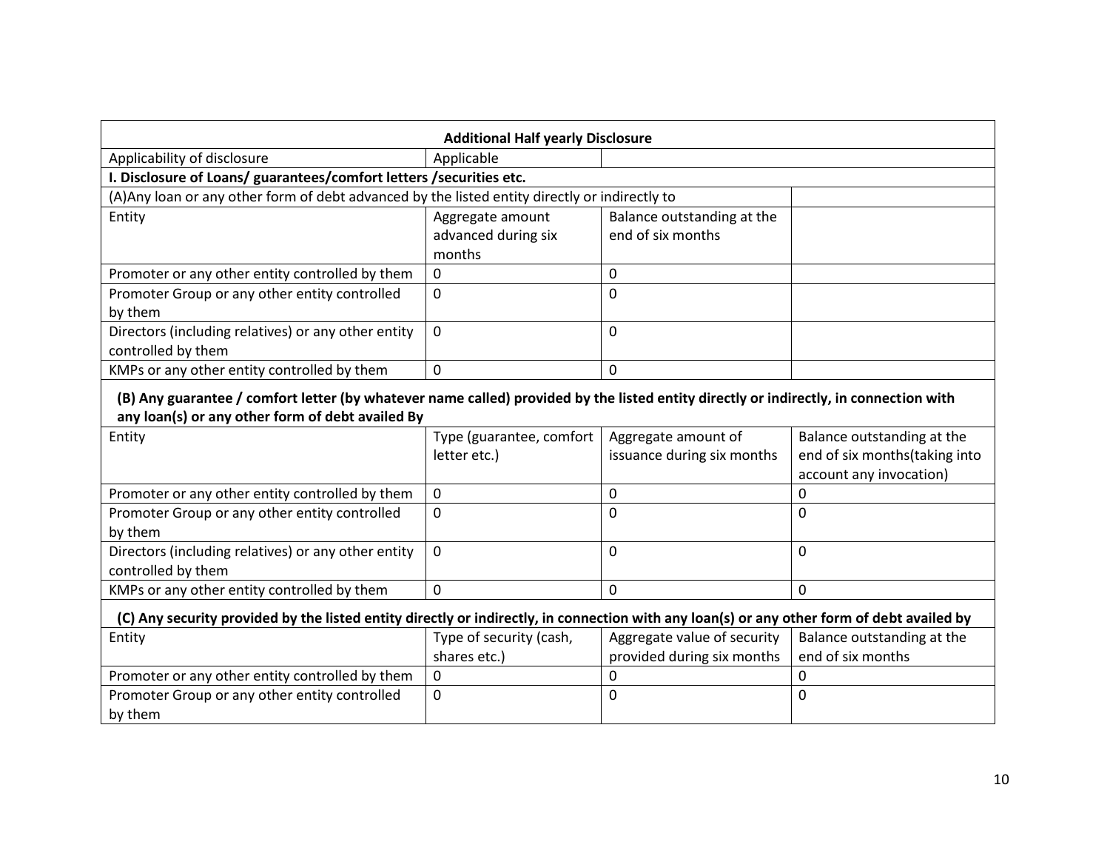|                                                                                                                                                                                           | <b>Additional Half yearly Disclosure</b> |                             |                               |  |
|-------------------------------------------------------------------------------------------------------------------------------------------------------------------------------------------|------------------------------------------|-----------------------------|-------------------------------|--|
| Applicability of disclosure                                                                                                                                                               | Applicable                               |                             |                               |  |
| I. Disclosure of Loans/ guarantees/comfort letters / securities etc.                                                                                                                      |                                          |                             |                               |  |
| (A)Any loan or any other form of debt advanced by the listed entity directly or indirectly to                                                                                             |                                          |                             |                               |  |
| Entity                                                                                                                                                                                    | Aggregate amount                         | Balance outstanding at the  |                               |  |
|                                                                                                                                                                                           | advanced during six                      | end of six months           |                               |  |
|                                                                                                                                                                                           | months                                   |                             |                               |  |
| Promoter or any other entity controlled by them                                                                                                                                           | $\mathbf 0$                              | 0                           |                               |  |
| Promoter Group or any other entity controlled                                                                                                                                             | 0                                        | $\Omega$                    |                               |  |
| by them                                                                                                                                                                                   |                                          |                             |                               |  |
| Directors (including relatives) or any other entity                                                                                                                                       | 0                                        | 0                           |                               |  |
| controlled by them                                                                                                                                                                        |                                          |                             |                               |  |
| KMPs or any other entity controlled by them                                                                                                                                               | 0                                        | 0                           |                               |  |
| (B) Any guarantee / comfort letter (by whatever name called) provided by the listed entity directly or indirectly, in connection with<br>any loan(s) or any other form of debt availed By |                                          |                             |                               |  |
| Entity                                                                                                                                                                                    | Type (guarantee, comfort                 | Aggregate amount of         | Balance outstanding at the    |  |
|                                                                                                                                                                                           | letter etc.)                             | issuance during six months  | end of six months(taking into |  |
|                                                                                                                                                                                           |                                          |                             | account any invocation)       |  |
| Promoter or any other entity controlled by them                                                                                                                                           | 0                                        | 0                           | 0                             |  |
| Promoter Group or any other entity controlled                                                                                                                                             | $\mathbf 0$                              | $\Omega$                    | $\Omega$                      |  |
| by them                                                                                                                                                                                   |                                          |                             |                               |  |
| Directors (including relatives) or any other entity                                                                                                                                       | $\mathbf 0$                              | $\mathbf 0$                 | $\mathbf 0$                   |  |
| controlled by them                                                                                                                                                                        |                                          |                             |                               |  |
| KMPs or any other entity controlled by them                                                                                                                                               | 0                                        | 0                           | 0                             |  |
| (C) Any security provided by the listed entity directly or indirectly, in connection with any loan(s) or any other form of debt availed by                                                |                                          |                             |                               |  |
| Entity                                                                                                                                                                                    | Type of security (cash,                  | Aggregate value of security | Balance outstanding at the    |  |
|                                                                                                                                                                                           | shares etc.)                             | provided during six months  | end of six months             |  |
| Promoter or any other entity controlled by them                                                                                                                                           | 0                                        | 0                           | 0                             |  |
| Promoter Group or any other entity controlled                                                                                                                                             | 0                                        | $\overline{0}$              | 0                             |  |
| by them                                                                                                                                                                                   |                                          |                             |                               |  |